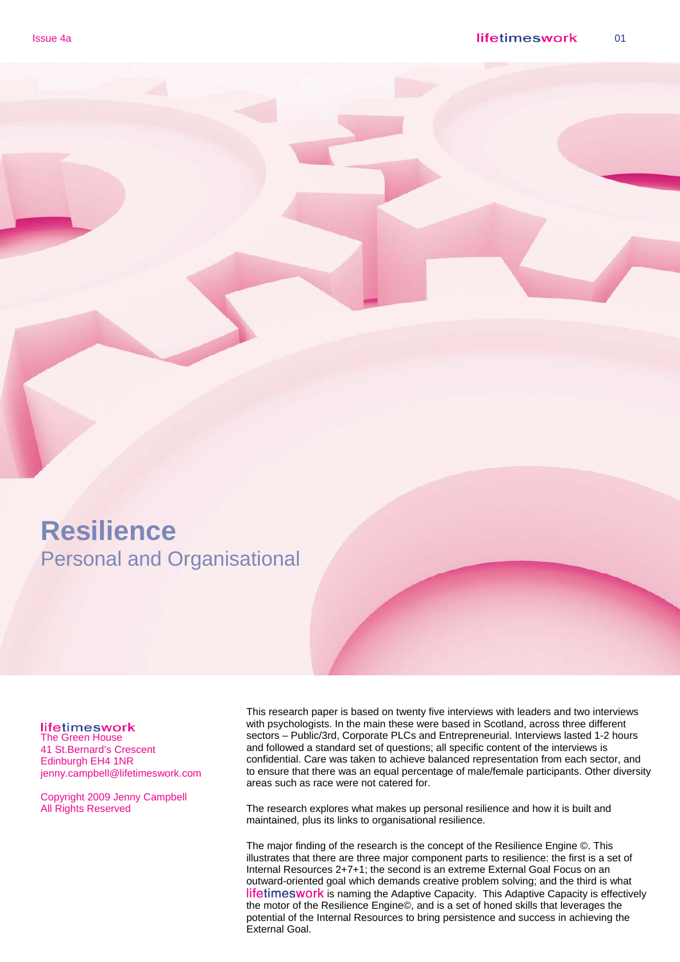### **Resilience**  Personal and Organisational

#### lifetimeswork

The Green House 41 St.Bernard's Crescent Edinburgh EH4 1NR jenny.campbell@lifetimeswork.com

Copyright 2009 Jenny Campbell All Rights Reserved

This research paper is based on twenty five interviews with leaders and two interviews with psychologists. In the main these were based in Scotland, across three different sectors – Public/3rd, Corporate PLCs and Entrepreneurial. Interviews lasted 1-2 hours and followed a standard set of questions; all specific content of the interviews is confidential. Care was taken to achieve balanced representation from each sector, and to ensure that there was an equal percentage of male/female participants. Other diversity areas such as race were not catered for.

The research explores what makes up personal resilience and how it is built and maintained, plus its links to organisational resilience.

The major finding of the research is the concept of the Resilience Engine ©. This illustrates that there are three major component parts to resilience: the first is a set of Internal Resources 2+7+1; the second is an extreme External Goal Focus on an outward-oriented goal which demands creative problem solving; and the third is what lifetimeswork is naming the Adaptive Capacity. This Adaptive Capacity is effectively the motor of the Resilience Engine©, and is a set of honed skills that leverages the potential of the Internal Resources to bring persistence and success in achieving the External Goal.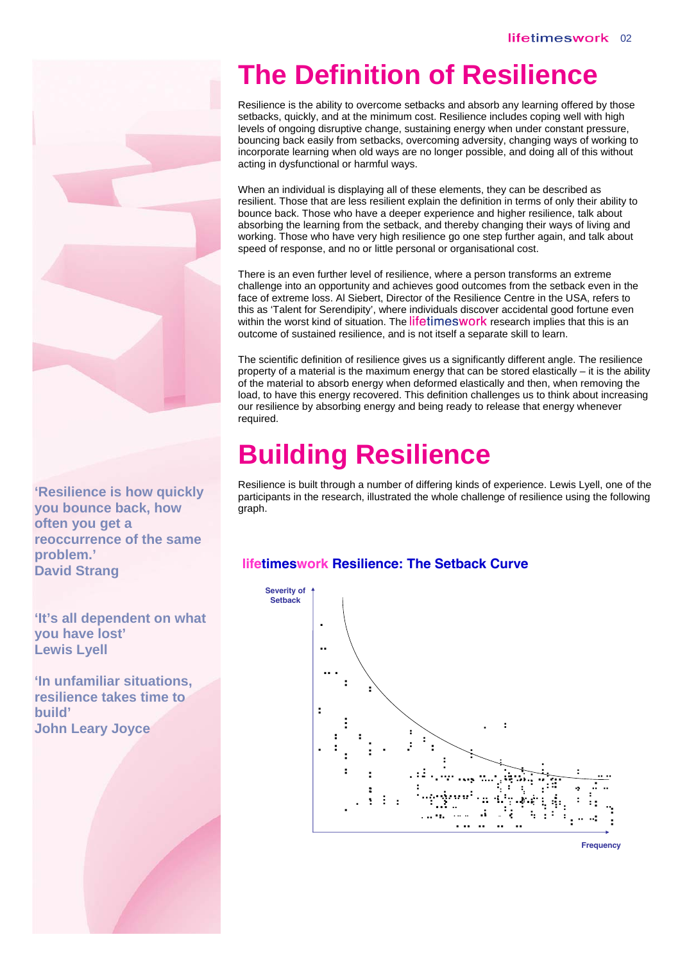

**'Resilience is how quickly you bounce back, how often you get a reoccurrence of the same problem.' David Strang** 

**'It's all dependent on what you have lost' Lewis Lyell** 

**'In unfamiliar situations, resilience takes time to build' John Leary Joyce** 

## **The Definition of Resilience**

Resilience is the ability to overcome setbacks and absorb any learning offered by those setbacks, quickly, and at the minimum cost. Resilience includes coping well with high levels of ongoing disruptive change, sustaining energy when under constant pressure, bouncing back easily from setbacks, overcoming adversity, changing ways of working to incorporate learning when old ways are no longer possible, and doing all of this without acting in dysfunctional or harmful ways.

When an individual is displaying all of these elements, they can be described as resilient. Those that are less resilient explain the definition in terms of only their ability to bounce back. Those who have a deeper experience and higher resilience, talk about absorbing the learning from the setback, and thereby changing their ways of living and working. Those who have very high resilience go one step further again, and talk about speed of response, and no or little personal or organisational cost.

There is an even further level of resilience, where a person transforms an extreme challenge into an opportunity and achieves good outcomes from the setback even in the face of extreme loss. Al Siebert, Director of the Resilience Centre in the USA, refers to this as 'Talent for Serendipity', where individuals discover accidental good fortune even within the worst kind of situation. The lifetimeswork research implies that this is an outcome of sustained resilience, and is not itself a separate skill to learn.

The scientific definition of resilience gives us a significantly different angle. The resilience property of a material is the maximum energy that can be stored elastically – it is the ability of the material to absorb energy when deformed elastically and then, when removing the load, to have this energy recovered. This definition challenges us to think about increasing our resilience by absorbing energy and being ready to release that energy whenever required.

## **Building Resilience**

Resilience is built through a number of differing kinds of experience. Lewis Lyell, one of the participants in the research, illustrated the whole challenge of resilience using the following graph.

### **lifetimeswork Resilience: The Setback Curve**



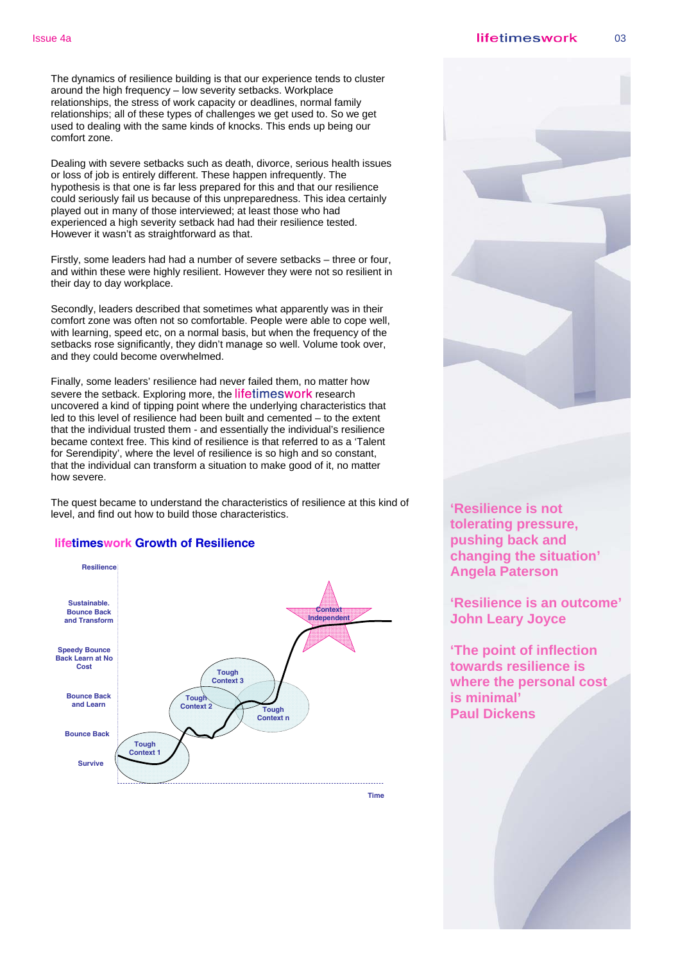The dynamics of resilience building is that our experience tends to cluster around the high frequency – low severity setbacks. Workplace relationships, the stress of work capacity or deadlines, normal family relationships; all of these types of challenges we get used to. So we get used to dealing with the same kinds of knocks. This ends up being our comfort zone.

Dealing with severe setbacks such as death, divorce, serious health issues or loss of job is entirely different. These happen infrequently. The hypothesis is that one is far less prepared for this and that our resilience could seriously fail us because of this unpreparedness. This idea certainly played out in many of those interviewed; at least those who had experienced a high severity setback had had their resilience tested. However it wasn't as straightforward as that.

Firstly, some leaders had had a number of severe setbacks – three or four, and within these were highly resilient. However they were not so resilient in their day to day workplace.

Secondly, leaders described that sometimes what apparently was in their comfort zone was often not so comfortable. People were able to cope well, with learning, speed etc, on a normal basis, but when the frequency of the setbacks rose significantly, they didn't manage so well. Volume took over, and they could become overwhelmed.

Finally, some leaders' resilience had never failed them, no matter how severe the setback. Exploring more, the lifetimeswork research uncovered a kind of tipping point where the underlying characteristics that led to this level of resilience had been built and cemented – to the extent that the individual trusted them - and essentially the individual's resilience became context free. This kind of resilience is that referred to as a 'Talent for Serendipity', where the level of resilience is so high and so constant, that the individual can transform a situation to make good of it, no matter how severe.

The quest became to understand the characteristics of resilience at this kind of level, and find out how to build those characteristics.

#### **lifetimeswork Growth of Resilience**



**Time**



**'Resilience is not tolerating pressure, pushing back and changing the situation' Angela Paterson** 

**'Resilience is an outcome' John Leary Joyce** 

**'The point of inflection towards resilience is where the personal cost is minimal' Paul Dickens**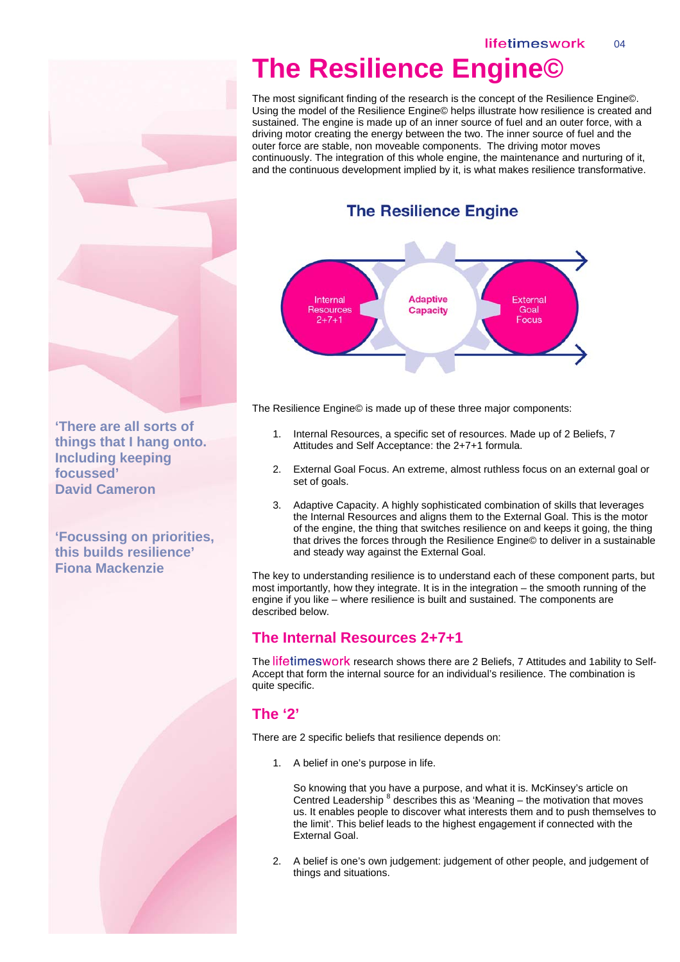## **The Resilience Engine©**

The most significant finding of the research is the concept of the Resilience Engine©. Using the model of the Resilience Engine© helps illustrate how resilience is created and sustained. The engine is made up of an inner source of fuel and an outer force, with a driving motor creating the energy between the two. The inner source of fuel and the outer force are stable, non moveable components. The driving motor moves continuously. The integration of this whole engine, the maintenance and nurturing of it, and the continuous development implied by it, is what makes resilience transformative.

### **The Resilience Engine**



The Resilience Engine© is made up of these three major components:

- 1. Internal Resources, a specific set of resources. Made up of 2 Beliefs, 7 Attitudes and Self Acceptance: the 2+7+1 formula.
- 2. External Goal Focus. An extreme, almost ruthless focus on an external goal or set of goals.
- 3. Adaptive Capacity. A highly sophisticated combination of skills that leverages the Internal Resources and aligns them to the External Goal. This is the motor of the engine, the thing that switches resilience on and keeps it going, the thing that drives the forces through the Resilience Engine© to deliver in a sustainable and steady way against the External Goal.

The key to understanding resilience is to understand each of these component parts, but most importantly, how they integrate. It is in the integration – the smooth running of the engine if you like – where resilience is built and sustained. The components are described below.

### **The Internal Resources 2+7+1**

The lifetimeswork research shows there are 2 Beliefs, 7 Attitudes and 1ability to Self-Accept that form the internal source for an individual's resilience. The combination is quite specific.

### **The '2'**

There are 2 specific beliefs that resilience depends on:

1. A belief in one's purpose in life.

So knowing that you have a purpose, and what it is. McKinsey's article on Centred Leadership  $8$  describes this as 'Meaning – the motivation that moves us. It enables people to discover what interests them and to push themselves to the limit'. This belief leads to the highest engagement if connected with the External Goal.

2. A belief is one's own judgement: judgement of other people, and judgement of things and situations.

**'There are all sorts of things that I hang onto. Including keeping focussed' David Cameron** 

**'Focussing on priorities, this builds resilience' Fiona Mackenzie**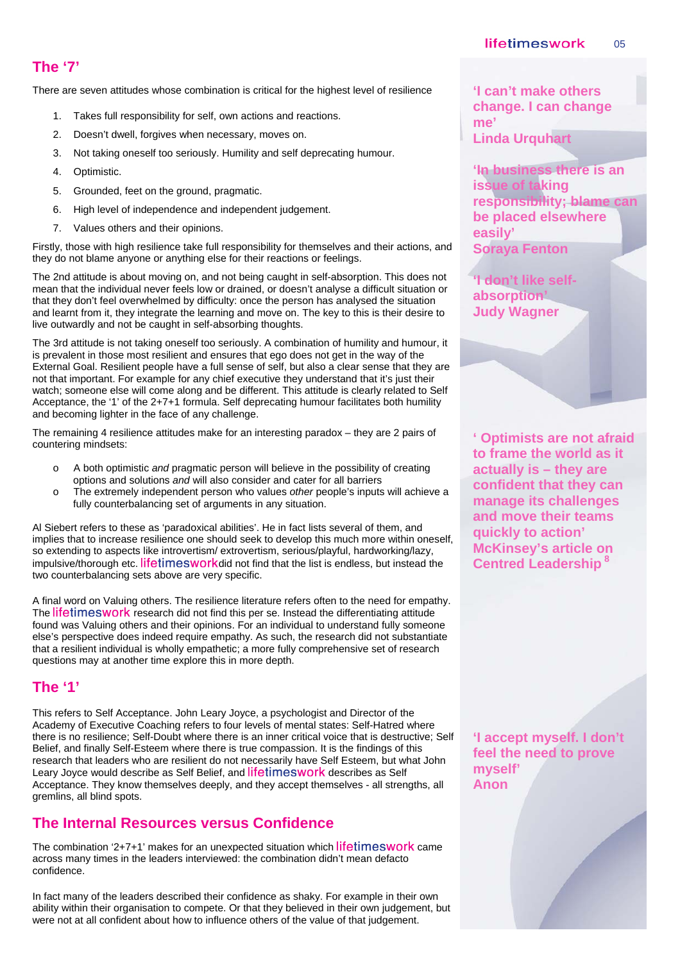### **The '7'**

There are seven attitudes whose combination is critical for the highest level of resilience

- 1. Takes full responsibility for self, own actions and reactions.
- 2. Doesn't dwell, forgives when necessary, moves on.
- 3. Not taking oneself too seriously. Humility and self deprecating humour.
- 4. Optimistic.
- 5. Grounded, feet on the ground, pragmatic.
- 6. High level of independence and independent judgement.
- 7. Values others and their opinions.

Firstly, those with high resilience take full responsibility for themselves and their actions, and they do not blame anyone or anything else for their reactions or feelings.

The 2nd attitude is about moving on, and not being caught in self-absorption. This does not mean that the individual never feels low or drained, or doesn't analyse a difficult situation or that they don't feel overwhelmed by difficulty: once the person has analysed the situation and learnt from it, they integrate the learning and move on. The key to this is their desire to live outwardly and not be caught in self-absorbing thoughts.

The 3rd attitude is not taking oneself too seriously. A combination of humility and humour, it is prevalent in those most resilient and ensures that ego does not get in the way of the External Goal. Resilient people have a full sense of self, but also a clear sense that they are not that important. For example for any chief executive they understand that it's just their watch; someone else will come along and be different. This attitude is clearly related to Self Acceptance, the '1' of the 2+7+1 formula. Self deprecating humour facilitates both humility and becoming lighter in the face of any challenge.

The remaining 4 resilience attitudes make for an interesting paradox – they are 2 pairs of countering mindsets:

- o A both optimistic *and* pragmatic person will believe in the possibility of creating options and solutions *and* will also consider and cater for all barriers
- o The extremely independent person who values *other* people's inputs will achieve a fully counterbalancing set of arguments in any situation.

Al Siebert refers to these as 'paradoxical abilities'. He in fact lists several of them, and implies that to increase resilience one should seek to develop this much more within oneself, so extending to aspects like introvertism/ extrovertism, serious/playful, hardworking/lazy, impulsive/thorough etc. lifetimesworkdid not find that the list is endless, but instead the two counterbalancing sets above are very specific.

A final word on Valuing others. The resilience literature refers often to the need for empathy. The lifetimes work research did not find this per se. Instead the differentiating attitude found was Valuing others and their opinions. For an individual to understand fully someone else's perspective does indeed require empathy. As such, the research did not substantiate that a resilient individual is wholly empathetic; a more fully comprehensive set of research questions may at another time explore this in more depth.

### **The '1'**

This refers to Self Acceptance. John Leary Joyce, a psychologist and Director of the Academy of Executive Coaching refers to four levels of mental states: Self-Hatred where there is no resilience; Self-Doubt where there is an inner critical voice that is destructive; Self Belief, and finally Self-Esteem where there is true compassion. It is the findings of this research that leaders who are resilient do not necessarily have Self Esteem, but what John Leary Joyce would describe as Self Belief, and lifetimeswork describes as Self Acceptance. They know themselves deeply, and they accept themselves - all strengths, all gremlins, all blind spots.

### **The Internal Resources versus Confidence**

The combination '2+7+1' makes for an unexpected situation which  $l$ ifetimeswork came across many times in the leaders interviewed: the combination didn't mean defacto confidence.

 were not at all confident about how to influence others of the value of that judgement. In fact many of the leaders described their confidence as shaky. For example in their own ability within their organisation to compete. Or that they believed in their own judgement, but **'I can't make others change. I can change me' Linda Urquhart** 

**'In business there is an issue of taking responsibility; blame can be placed elsewhere easily' Soraya Fenton** 

**'I don't like selfabsorption' Judy Wagner** 

**' Optimists are not afraid to frame the world as it actually is – they are confident that they can manage its challenges and move their teams quickly to action' McKinsey's article on Centred Leadership 8**

**'I accept myself. I don't feel the need to prove myself' Anon**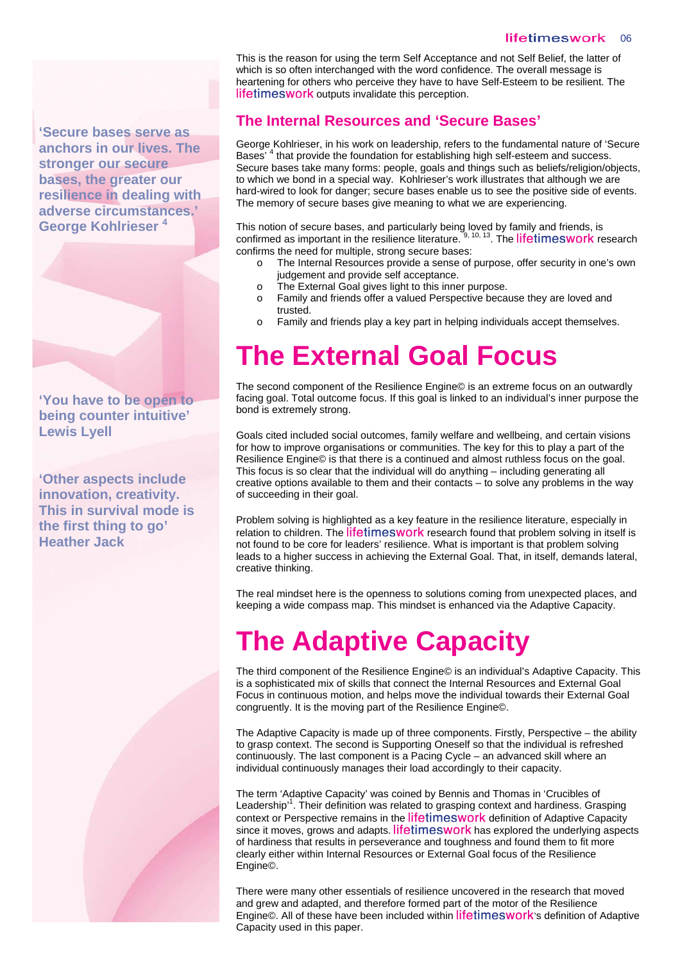**'Secure bases serve as anchors in our lives. The stronger our secure bases, the greater our resilience in dealing with adverse circumstances.' George Kohlrieser 4** 

**'You have to be open to being counter intuitive' Lewis Lyell** 

**'Other aspects include innovation, creativity. This in survival mode is the first thing to go' Heather Jack** 

This is the reason for using the term Self Acceptance and not Self Belief, the latter of which is so often interchanged with the word confidence. The overall message is heartening for others who perceive they have to have Self-Esteem to be resilient. The lifetimeswork outputs invalidate this perception.

### **The Internal Resources and 'Secure Bases'**

George Kohlrieser, in his work on leadership, refers to the fundamental nature of 'Secure Bases'<sup>4</sup> that provide the foundation for establishing high self-esteem and success. Secure bases take many forms: people, goals and things such as beliefs/religion/objects, to which we bond in a special way. Kohlrieser's work illustrates that although we are hard-wired to look for danger; secure bases enable us to see the positive side of events. The memory of secure bases give meaning to what we are experiencing.

This notion of secure bases, and particularly being loved by family and friends, is confirmed as important in the resilience literature.  $9, 10, 13$ . The lifetimeswork research confirms the need for multiple, strong secure bases:

- o The Internal Resources provide a sense of purpose, offer security in one's own judgement and provide self acceptance.
- o The External Goal gives light to this inner purpose.
- o Family and friends offer a valued Perspective because they are loved and trusted.
- o Family and friends play a key part in helping individuals accept themselves.

## **The External Goal Focus**

The second component of the Resilience Engine© is an extreme focus on an outwardly facing goal. Total outcome focus. If this goal is linked to an individual's inner purpose the bond is extremely strong.

Goals cited included social outcomes, family welfare and wellbeing, and certain visions for how to improve organisations or communities. The key for this to play a part of the Resilience Engine© is that there is a continued and almost ruthless focus on the goal. This focus is so clear that the individual will do anything – including generating all creative options available to them and their contacts – to solve any problems in the way of succeeding in their goal.

Problem solving is highlighted as a key feature in the resilience literature, especially in relation to children. The lifetimeswork research found that problem solving in itself is not found to be core for leaders' resilience. What is important is that problem solving leads to a higher success in achieving the External Goal. That, in itself, demands lateral, creative thinking.

The real mindset here is the openness to solutions coming from unexpected places, and keeping a wide compass map. This mindset is enhanced via the Adaptive Capacity.

# **The Adaptive Capacity**

The third component of the Resilience Engine© is an individual's Adaptive Capacity. This is a sophisticated mix of skills that connect the Internal Resources and External Goal Focus in continuous motion, and helps move the individual towards their External Goal congruently. It is the moving part of the Resilience Engine©.

The Adaptive Capacity is made up of three components. Firstly, Perspective – the ability to grasp context. The second is Supporting Oneself so that the individual is refreshed continuously. The last component is a Pacing Cycle – an advanced skill where an individual continuously manages their load accordingly to their capacity.

The term 'Adaptive Capacity' was coined by Bennis and Thomas in 'Crucibles of Leadership<sup>11</sup>. Their definition was related to grasping context and hardiness. Grasping context or Perspective remains in the lifetimeswork definition of Adaptive Capacity since it moves, grows and adapts. lifetimeswork has explored the underlying aspects of hardiness that results in perseverance and toughness and found them to fit more clearly either within Internal Resources or External Goal focus of the Resilience Engine©.

There were many other essentials of resilience uncovered in the research that moved and grew and adapted, and therefore formed part of the motor of the Resilience Engine©. All of these have been included within lifetimeswork's definition of Adaptive Capacity used in this paper.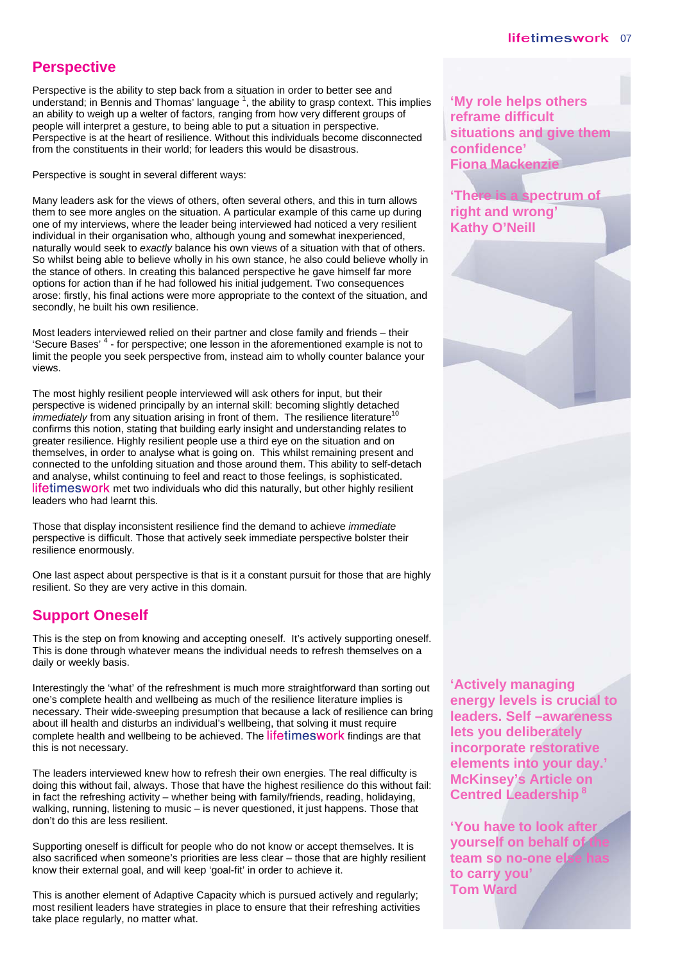### **Perspective**

Perspective is the ability to step back from a situation in order to better see and understand; in Bennis and Thomas' language  $^1$ , the ability to grasp context. This implies an ability to weigh up a welter of factors, ranging from how very different groups of people will interpret a gesture, to being able to put a situation in perspective. Perspective is at the heart of resilience. Without this individuals become disconnected from the constituents in their world; for leaders this would be disastrous.

Perspective is sought in several different ways:

Many leaders ask for the views of others, often several others, and this in turn allows them to see more angles on the situation. A particular example of this came up during one of my interviews, where the leader being interviewed had noticed a very resilient individual in their organisation who, although young and somewhat inexperienced, naturally would seek to *exactly* balance his own views of a situation with that of others. So whilst being able to believe wholly in his own stance, he also could believe wholly in the stance of others. In creating this balanced perspective he gave himself far more options for action than if he had followed his initial judgement. Two consequences arose: firstly, his final actions were more appropriate to the context of the situation, and secondly, he built his own resilience.

Most leaders interviewed relied on their partner and close family and friends – their 'Secure Bases'<sup>4</sup> - for perspective; one lesson in the aforementioned example is not to limit the people you seek perspective from, instead aim to wholly counter balance your views.

The most highly resilient people interviewed will ask others for input, but their perspective is widened principally by an internal skill: becoming slightly detached *immediately* from any situation arising in front of them. The resilience literature<sup>1</sup> confirms this notion, stating that building early insight and understanding relates to greater resilience. Highly resilient people use a third eye on the situation and on themselves, in order to analyse what is going on. This whilst remaining present and connected to the unfolding situation and those around them. This ability to self-detach and analyse, whilst continuing to feel and react to those feelings, is sophisticated. lifetimeswork met two individuals who did this naturally, but other highly resilient leaders who had learnt this.

Those that display inconsistent resilience find the demand to achieve *immediate*  perspective is difficult. Those that actively seek immediate perspective bolster their resilience enormously.

One last aspect about perspective is that is it a constant pursuit for those that are highly resilient. So they are very active in this domain.

### **Support Oneself**

This is the step on from knowing and accepting oneself. It's actively supporting oneself. This is done through whatever means the individual needs to refresh themselves on a daily or weekly basis.

Interestingly the 'what' of the refreshment is much more straightforward than sorting out one's complete health and wellbeing as much of the resilience literature implies is necessary. Their wide-sweeping presumption that because a lack of resilience can bring about ill health and disturbs an individual's wellbeing, that solving it must require complete health and wellbeing to be achieved. The lifetimeswork findings are that this is not necessary.

The leaders interviewed knew how to refresh their own energies. The real difficulty is doing this without fail, always. Those that have the highest resilience do this without fail: in fact the refreshing activity – whether being with family/friends, reading, holidaying, walking, running, listening to music – is never questioned, it just happens. Those that don't do this are less resilient.

Supporting oneself is difficult for people who do not know or accept themselves. It is also sacrificed when someone's priorities are less clear – those that are highly resilient know their external goal, and will keep 'goal-fit' in order to achieve it.

 take place regularly, no matter what. This is another element of Adaptive Capacity which is pursued actively and regularly; most resilient leaders have strategies in place to ensure that their refreshing activities **'My role helps others reframe difficult situations and give them confidence' Fiona Mackenzie** 

**'There is a spectrum of right and wrong' Kathy O'Neill** 

**'Actively managing energy levels is crucial to leaders. Self –awareness lets you deliberately incorporate restorative elements into your day.' McKinsey's Article on Centred Leadership 8**

**'You have to look after yourself on behalf of the** team so no-one els **to carry you' Tom Ward**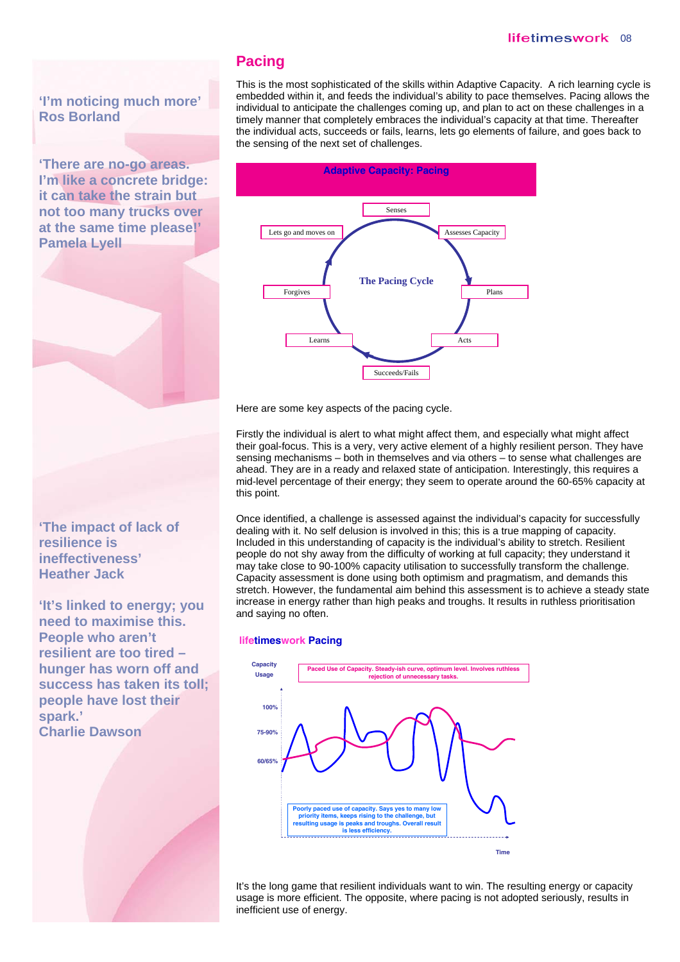#### lifetimeswork 08

**'I'm noticing much more' Ros Borland** 

**'There are no-go areas. I'm like a concrete bridge: it can take the strain but not too many trucks over at the same time please!' Pamela Lyell** 

**Pacing** 

This is the most sophisticated of the skills within Adaptive Capacity. A rich learning cycle is embedded within it, and feeds the individual's ability to pace themselves. Pacing allows the individual to anticipate the challenges coming up, and plan to act on these challenges in a timely manner that completely embraces the individual's capacity at that time. Thereafter the individual acts, succeeds or fails, learns, lets go elements of failure, and goes back to the sensing of the next set of challenges.



Here are some key aspects of the pacing cycle.

Firstly the individual is alert to what might affect them, and especially what might affect their goal-focus. This is a very, very active element of a highly resilient person. They have sensing mechanisms – both in themselves and via others – to sense what challenges are ahead. They are in a ready and relaxed state of anticipation. Interestingly, this requires a mid-level percentage of their energy; they seem to operate around the 60-65% capacity at this point.

Once identified, a challenge is assessed against the individual's capacity for successfully dealing with it. No self delusion is involved in this; this is a true mapping of capacity. Included in this understanding of capacity is the individual's ability to stretch. Resilient people do not shy away from the difficulty of working at full capacity; they understand it may take close to 90-100% capacity utilisation to successfully transform the challenge. Capacity assessment is done using both optimism and pragmatism, and demands this stretch. However, the fundamental aim behind this assessment is to achieve a steady state increase in energy rather than high peaks and troughs. It results in ruthless prioritisation and saying no often.

#### **lifetimeswork Pacing**



It's the long game that resilient individuals want to win. The resulting energy or capacity usage is more efficient. The opposite, where pacing is not adopted seriously, results in inefficient use of energy.



**'It's linked to energy; you need to maximise this. People who aren't resilient are too tired – hunger has worn off and success has taken its toll; people have lost their spark.' Charlie Dawson**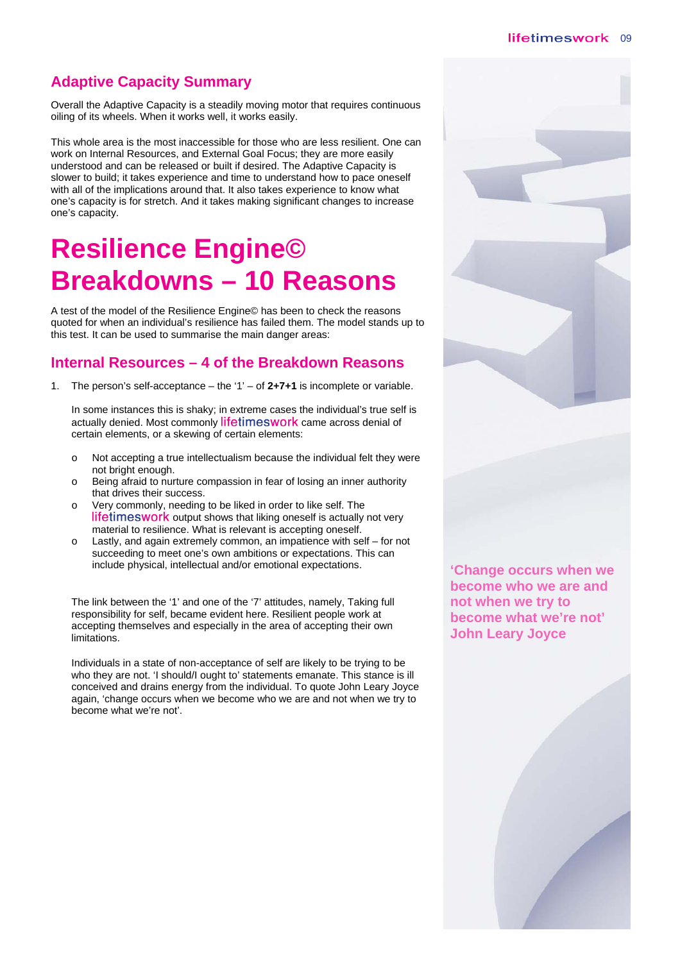### **Adaptive Capacity Summary**

Overall the Adaptive Capacity is a steadily moving motor that requires continuous oiling of its wheels. When it works well, it works easily.

This whole area is the most inaccessible for those who are less resilient. One can work on Internal Resources, and External Goal Focus; they are more easily understood and can be released or built if desired. The Adaptive Capacity is slower to build; it takes experience and time to understand how to pace oneself with all of the implications around that. It also takes experience to know what one's capacity is for stretch. And it takes making significant changes to increase one's capacity.

# **Resilience Engine© Breakdowns – 10 Reasons**

A test of the model of the Resilience Engine© has been to check the reasons quoted for when an individual's resilience has failed them. The model stands up to this test. It can be used to summarise the main danger areas:

### **Internal Resources – 4 of the Breakdown Reasons**

1. The person's self-acceptance – the '1' – of **2+7+1** is incomplete or variable.

In some instances this is shaky; in extreme cases the individual's true self is actually denied. Most commonly lifetimeswork came across denial of certain elements, or a skewing of certain elements:

- o Not accepting a true intellectualism because the individual felt they were not bright enough.
- o Being afraid to nurture compassion in fear of losing an inner authority that drives their success.
- o Very commonly, needing to be liked in order to like self. The lifetimeswork output shows that liking oneself is actually not very material to resilience. What is relevant is accepting oneself.
- Lastly, and again extremely common, an impatience with self  $-$  for not succeeding to meet one's own ambitions or expectations. This can include physical, intellectual and/or emotional expectations.

The link between the '1' and one of the '7' attitudes, namely, Taking full responsibility for self, became evident here. Resilient people work at accepting themselves and especially in the area of accepting their own limitations.

Individuals in a state of non-acceptance of self are likely to be trying to be who they are not. 'I should/I ought to' statements emanate. This stance is ill conceived and drains energy from the individual. To quote John Leary Joyce again, 'change occurs when we become who we are and not when we try to become what we're not'.



**'Change occurs when we become who we are and not when we try to become what we're not' John Leary Joyce** 

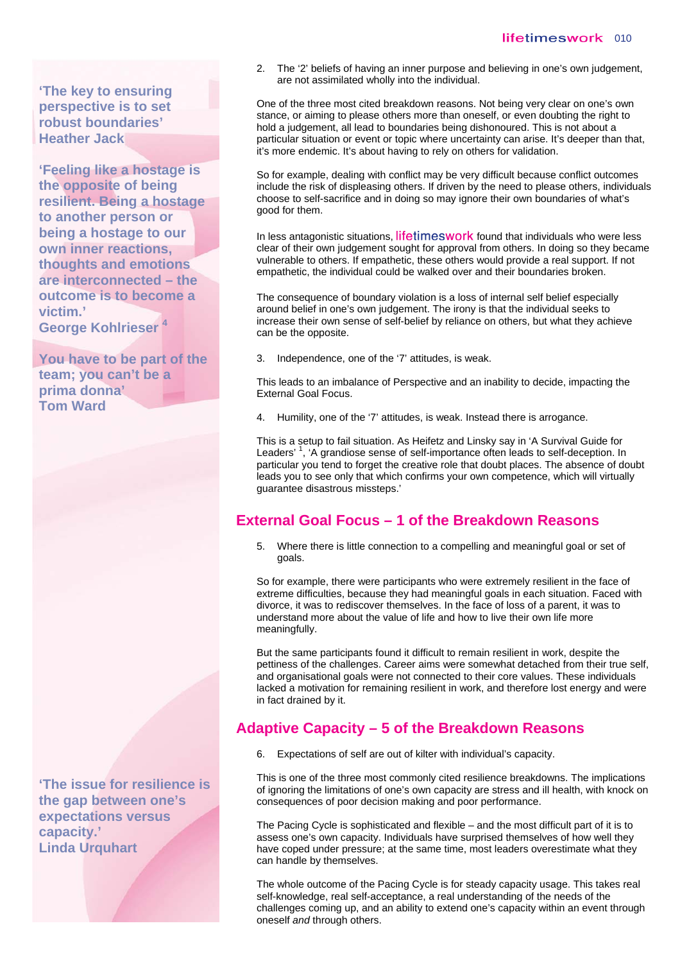**'The key to ensuring perspective is to set robust boundaries' Heather Jack** 

**'Feeling like a hostage is the opposite of being resilient. Being a hostage to another person or being a hostage to our own inner reactions, thoughts and emotions are interconnected – the outcome is to become a victim.' George Kohlrieser 4** 

**You have to be part of the team; you can't be a prima donna' Tom Ward** 

**'The issue for resilience is the gap between one's expectations versus capacity.' Linda Urquhart** 

2. The '2' beliefs of having an inner purpose and believing in one's own judgement, are not assimilated wholly into the individual.

One of the three most cited breakdown reasons. Not being very clear on one's own stance, or aiming to please others more than oneself, or even doubting the right to hold a judgement, all lead to boundaries being dishonoured. This is not about a particular situation or event or topic where uncertainty can arise. It's deeper than that, it's more endemic. It's about having to rely on others for validation.

So for example, dealing with conflict may be very difficult because conflict outcomes include the risk of displeasing others. If driven by the need to please others, individuals choose to self-sacrifice and in doing so may ignore their own boundaries of what's good for them.

In less antagonistic situations, lifetimeswork found that individuals who were less clear of their own judgement sought for approval from others. In doing so they became vulnerable to others. If empathetic, these others would provide a real support. If not empathetic, the individual could be walked over and their boundaries broken.

The consequence of boundary violation is a loss of internal self belief especially around belief in one's own judgement. The irony is that the individual seeks to increase their own sense of self-belief by reliance on others, but what they achieve can be the opposite.

3. Independence, one of the '7' attitudes, is weak.

This leads to an imbalance of Perspective and an inability to decide, impacting the External Goal Focus.

4. Humility, one of the '7' attitudes, is weak. Instead there is arrogance.

This is a setup to fail situation. As Heifetz and Linsky say in 'A Survival Guide for Leaders'<sup>1</sup>, 'A grandiose sense of self-importance often leads to self-deception. In particular you tend to forget the creative role that doubt places. The absence of doubt leads you to see only that which confirms your own competence, which will virtually guarantee disastrous missteps.'

### **External Goal Focus – 1 of the Breakdown Reasons**

5. Where there is little connection to a compelling and meaningful goal or set of goals.

So for example, there were participants who were extremely resilient in the face of extreme difficulties, because they had meaningful goals in each situation. Faced with divorce, it was to rediscover themselves. In the face of loss of a parent, it was to understand more about the value of life and how to live their own life more meaningfully.

But the same participants found it difficult to remain resilient in work, despite the pettiness of the challenges. Career aims were somewhat detached from their true self, and organisational goals were not connected to their core values. These individuals lacked a motivation for remaining resilient in work, and therefore lost energy and were in fact drained by it.

### **Adaptive Capacity – 5 of the Breakdown Reasons**

6. Expectations of self are out of kilter with individual's capacity.

This is one of the three most commonly cited resilience breakdowns. The implications of ignoring the limitations of one's own capacity are stress and ill health, with knock on consequences of poor decision making and poor performance.

The Pacing Cycle is sophisticated and flexible – and the most difficult part of it is to assess one's own capacity. Individuals have surprised themselves of how well they have coped under pressure; at the same time, most leaders overestimate what they can handle by themselves.

The whole outcome of the Pacing Cycle is for steady capacity usage. This takes real self-knowledge, real self-acceptance, a real understanding of the needs of the challenges coming up, and an ability to extend one's capacity within an event through oneself *and* through others.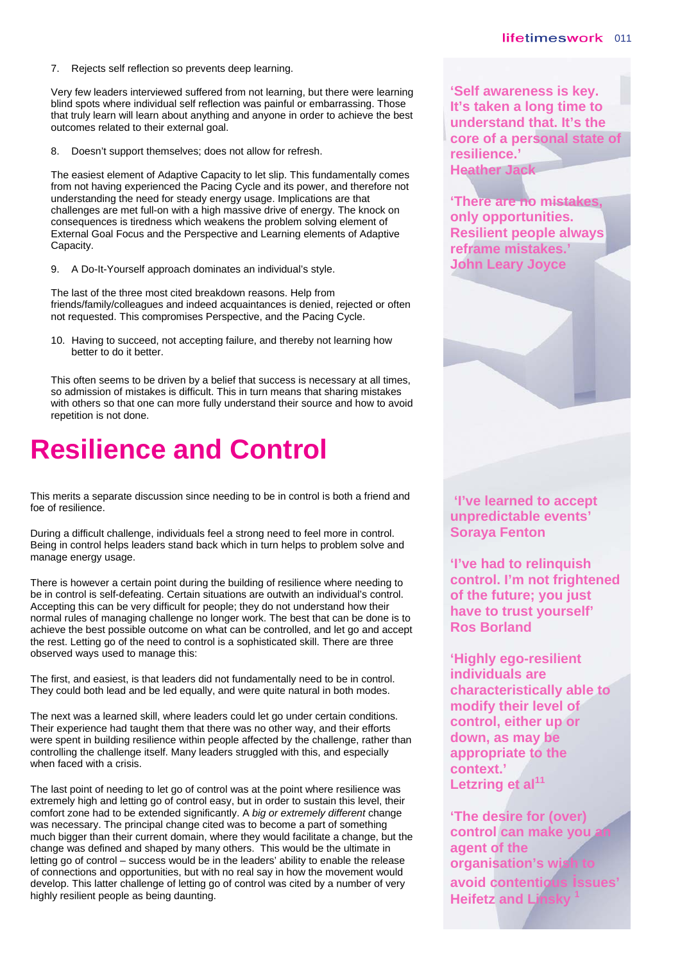7. Rejects self reflection so prevents deep learning.

Very few leaders interviewed suffered from not learning, but there were learning blind spots where individual self reflection was painful or embarrassing. Those that truly learn will learn about anything and anyone in order to achieve the best outcomes related to their external goal.

8. Doesn't support themselves; does not allow for refresh.

The easiest element of Adaptive Capacity to let slip. This fundamentally comes from not having experienced the Pacing Cycle and its power, and therefore not understanding the need for steady energy usage. Implications are that challenges are met full-on with a high massive drive of energy. The knock on consequences is tiredness which weakens the problem solving element of External Goal Focus and the Perspective and Learning elements of Adaptive Capacity.

9. A Do-It-Yourself approach dominates an individual's style.

The last of the three most cited breakdown reasons. Help from friends/family/colleagues and indeed acquaintances is denied, rejected or often not requested. This compromises Perspective, and the Pacing Cycle.

10. Having to succeed, not accepting failure, and thereby not learning how better to do it better.

This often seems to be driven by a belief that success is necessary at all times, so admission of mistakes is difficult. This in turn means that sharing mistakes with others so that one can more fully understand their source and how to avoid repetition is not done.

### **Resilience and Control**

This merits a separate discussion since needing to be in control is both a friend and foe of resilience.

During a difficult challenge, individuals feel a strong need to feel more in control. Being in control helps leaders stand back which in turn helps to problem solve and manage energy usage.

There is however a certain point during the building of resilience where needing to be in control is self-defeating. Certain situations are outwith an individual's control. Accepting this can be very difficult for people; they do not understand how their normal rules of managing challenge no longer work. The best that can be done is to achieve the best possible outcome on what can be controlled, and let go and accept the rest. Letting go of the need to control is a sophisticated skill. There are three observed ways used to manage this:

The first, and easiest, is that leaders did not fundamentally need to be in control. They could both lead and be led equally, and were quite natural in both modes.

The next was a learned skill, where leaders could let go under certain conditions. Their experience had taught them that there was no other way, and their efforts were spent in building resilience within people affected by the challenge, rather than controlling the challenge itself. Many leaders struggled with this, and especially when faced with a crisis.

The last point of needing to let go of control was at the point where resilience was extremely high and letting go of control easy, but in order to sustain this level, their comfort zone had to be extended significantly. A *big or extremely different* change was necessary. The principal change cited was to become a part of something much bigger than their current domain, where they would facilitate a change, but the change was defined and shaped by many others. This would be the ultimate in letting go of control – success would be in the leaders' ability to enable the release of connections and opportunities, but with no real say in how the movement would develop. This latter challenge of letting go of control was cited by a number of very highly resilient people as being daunting.

**'Self awareness is key. It's taken a long time to understand that. It's the core of a personal state of resilience.' Heather Jack** 

**'There are no mistakes, only opportunities. Resilient people always reframe mistakes.' John Leary Joyce** 

 **'I've learned to accept unpredictable events' Soraya Fenton** 

**'I've had to relinquish control. I'm not frightened of the future; you just have to trust yourself' Ros Borland** 

**'Highly ego-resilient individuals are characteristically able to modify their level of control, either up or down, as may be appropriate to the context.' Letzring et al<sup>11</sup>**

**'The desire for (over)**  control can make you **agent of the organisation's wish avoid contentious issues' Heifetz and Linsky 1**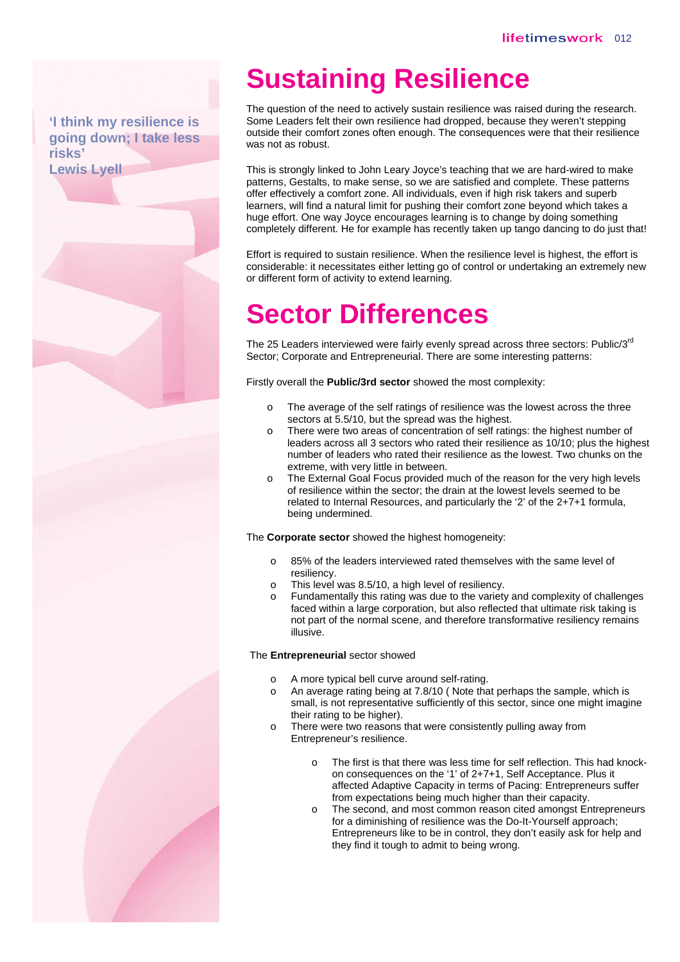#### **'I think my resilience is going down; I take less risks' Lewis Lyell**

## **Sustaining Resilience**

The question of the need to actively sustain resilience was raised during the research. Some Leaders felt their own resilience had dropped, because they weren't stepping outside their comfort zones often enough. The consequences were that their resilience was not as robust.

This is strongly linked to John Leary Joyce's teaching that we are hard-wired to make patterns, Gestalts, to make sense, so we are satisfied and complete. These patterns offer effectively a comfort zone. All individuals, even if high risk takers and superb learners, will find a natural limit for pushing their comfort zone beyond which takes a huge effort. One way Joyce encourages learning is to change by doing something completely different. He for example has recently taken up tango dancing to do just that!

Effort is required to sustain resilience. When the resilience level is highest, the effort is considerable: it necessitates either letting go of control or undertaking an extremely new or different form of activity to extend learning.

## **Sector Differences**

The 25 Leaders interviewed were fairly evenly spread across three sectors: Public/3<sup>rd</sup> Sector; Corporate and Entrepreneurial. There are some interesting patterns:

Firstly overall the **Public/3rd sector** showed the most complexity:

- o The average of the self ratings of resilience was the lowest across the three sectors at 5.5/10, but the spread was the highest.
- o There were two areas of concentration of self ratings: the highest number of leaders across all 3 sectors who rated their resilience as 10/10; plus the highest number of leaders who rated their resilience as the lowest. Two chunks on the extreme, with very little in between.
- o The External Goal Focus provided much of the reason for the very high levels of resilience within the sector; the drain at the lowest levels seemed to be related to Internal Resources, and particularly the '2' of the 2+7+1 formula, being undermined.

The **Corporate sector** showed the highest homogeneity:

- o 85% of the leaders interviewed rated themselves with the same level of resiliency.
- o This level was 8.5/10, a high level of resiliency.
- o Fundamentally this rating was due to the variety and complexity of challenges faced within a large corporation, but also reflected that ultimate risk taking is not part of the normal scene, and therefore transformative resiliency remains illusive.

The **Entrepreneurial** sector showed

- A more typical bell curve around self-rating.
- An average rating being at 7.8/10 (Note that perhaps the sample, which is small, is not representative sufficiently of this sector, since one might imagine their rating to be higher).
- o There were two reasons that were consistently pulling away from Entrepreneur's resilience.
	- The first is that there was less time for self reflection. This had knockon consequences on the '1' of 2+7+1, Self Acceptance. Plus it affected Adaptive Capacity in terms of Pacing: Entrepreneurs suffer from expectations being much higher than their capacity.
	- o The second, and most common reason cited amongst Entrepreneurs for a diminishing of resilience was the Do-It-Yourself approach; Entrepreneurs like to be in control, they don't easily ask for help and they find it tough to admit to being wrong.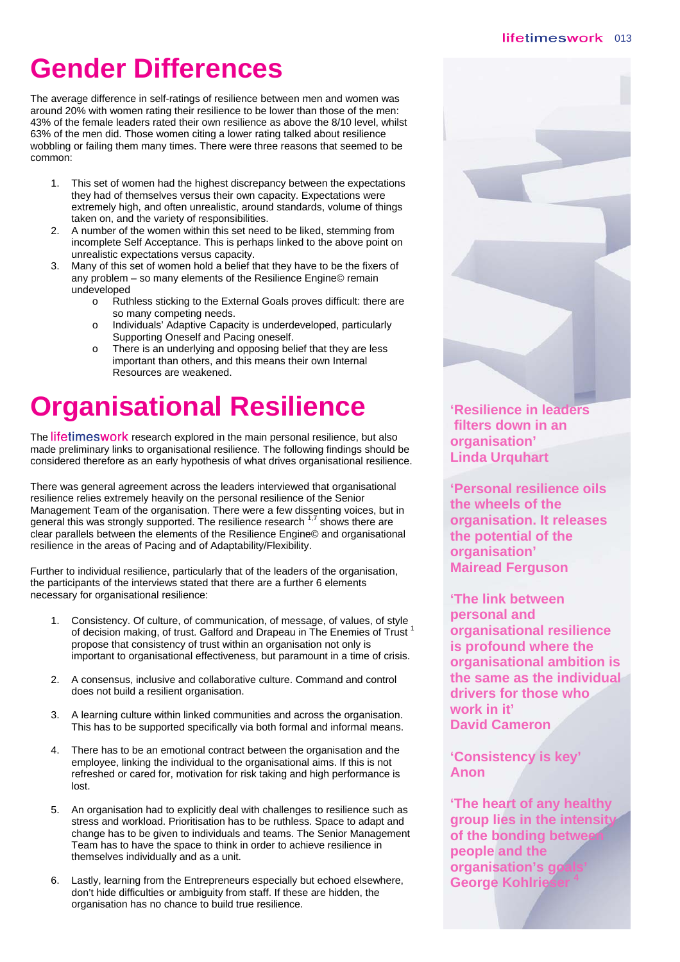# **Gender Differences**

The average difference in self-ratings of resilience between men and women was around 20% with women rating their resilience to be lower than those of the men: 43% of the female leaders rated their own resilience as above the 8/10 level, whilst 63% of the men did. Those women citing a lower rating talked about resilience wobbling or failing them many times. There were three reasons that seemed to be common:

- 1. This set of women had the highest discrepancy between the expectations they had of themselves versus their own capacity. Expectations were extremely high, and often unrealistic, around standards, volume of things taken on, and the variety of responsibilities.
- 2. A number of the women within this set need to be liked, stemming from incomplete Self Acceptance. This is perhaps linked to the above point on unrealistic expectations versus capacity.
- 3. Many of this set of women hold a belief that they have to be the fixers of any problem – so many elements of the Resilience Engine© remain undeveloped
	- o Ruthless sticking to the External Goals proves difficult: there are so many competing needs.
	- o Individuals' Adaptive Capacity is underdeveloped, particularly Supporting Oneself and Pacing oneself.
	- o There is an underlying and opposing belief that they are less important than others, and this means their own Internal Resources are weakened.

# **Organisational Resilience**

The lifetimeswork research explored in the main personal resilience, but also made preliminary links to organisational resilience. The following findings should be considered therefore as an early hypothesis of what drives organisational resilience.

There was general agreement across the leaders interviewed that organisational resilience relies extremely heavily on the personal resilience of the Senior Management Team of the organisation. There were a few dissenting voices, but in general this was strongly supported. The resilience research  $1.7$  shows there are clear parallels between the elements of the Resilience Engine© and organisational resilience in the areas of Pacing and of Adaptability/Flexibility.

Further to individual resilience, particularly that of the leaders of the organisation, the participants of the interviews stated that there are a further 6 elements necessary for organisational resilience:

- 1. Consistency. Of culture, of communication, of message, of values, of style of decision making, of trust. Galford and Drapeau in The Enemies of Trust<sup>1</sup> propose that consistency of trust within an organisation not only is important to organisational effectiveness, but paramount in a time of crisis.
- 2. A consensus, inclusive and collaborative culture. Command and control does not build a resilient organisation.
- 3. A learning culture within linked communities and across the organisation. This has to be supported specifically via both formal and informal means.
- 4. There has to be an emotional contract between the organisation and the employee, linking the individual to the organisational aims. If this is not refreshed or cared for, motivation for risk taking and high performance is lost.
- 5. An organisation had to explicitly deal with challenges to resilience such as stress and workload. Prioritisation has to be ruthless. Space to adapt and change has to be given to individuals and teams. The Senior Management Team has to have the space to think in order to achieve resilience in themselves individually and as a unit.
- 6. Lastly, learning from the Entrepreneurs especially but echoed elsewhere, don't hide difficulties or ambiguity from staff. If these are hidden, the organisation has no chance to build true resilience.

**'Resilience in leaders filters down in an organisation' Linda Urquhart** 

**'Personal resilience oils the wheels of the organisation. It releases the potential of the organisation' Mairead Ferguson** 

**'The link between personal and organisational resilience is profound where the organisational ambition is the same as the individual drivers for those who work in it' David Cameron** 

**'Consistency is key' Anon** 

**'The heart of any healthy group lies in the intensity of the bonding between people and the organisation's go George Kohlrie**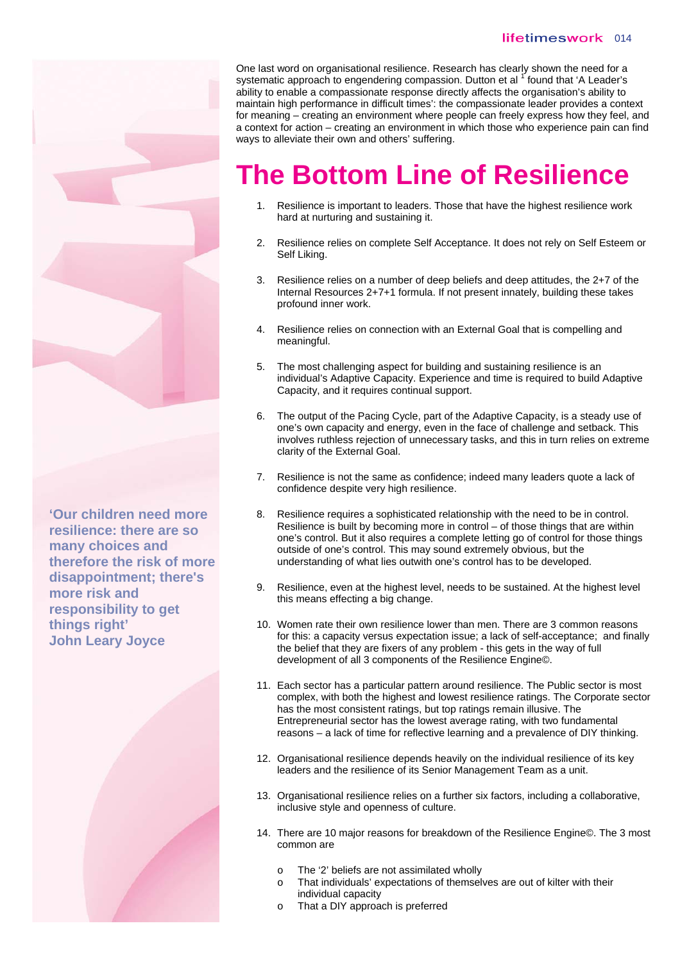#### lifetimeswork 014

**'Our children need more resilience: there are so many choices and therefore the risk of more disappointment; there's more risk and responsibility to get things right' John Leary Joyce** 



One last word on organisational resilience. Research has clearly shown the need for a systematic approach to engendering compassion. Dutton et al <sup>1</sup> found that 'A Leader's ability to enable a compassionate response directly affects the organisation's ability to maintain high performance in difficult times': the compassionate leader provides a context for meaning – creating an environment where people can freely express how they feel, and a context for action – creating an environment in which those who experience pain can find ways to alleviate their own and others' suffering.

## **The Bottom Line of Resilience**

- 1. Resilience is important to leaders. Those that have the highest resilience work hard at nurturing and sustaining it.
- 2. Resilience relies on complete Self Acceptance. It does not rely on Self Esteem or Self Liking.
- 3. Resilience relies on a number of deep beliefs and deep attitudes, the 2+7 of the Internal Resources 2+7+1 formula. If not present innately, building these takes profound inner work.
- 4. Resilience relies on connection with an External Goal that is compelling and meaningful.
- 5. The most challenging aspect for building and sustaining resilience is an individual's Adaptive Capacity. Experience and time is required to build Adaptive Capacity, and it requires continual support.
- 6. The output of the Pacing Cycle, part of the Adaptive Capacity, is a steady use of one's own capacity and energy, even in the face of challenge and setback. This involves ruthless rejection of unnecessary tasks, and this in turn relies on extreme clarity of the External Goal.
- 7. Resilience is not the same as confidence; indeed many leaders quote a lack of confidence despite very high resilience.
- 8. Resilience requires a sophisticated relationship with the need to be in control. Resilience is built by becoming more in control – of those things that are within one's control. But it also requires a complete letting go of control for those things outside of one's control. This may sound extremely obvious, but the understanding of what lies outwith one's control has to be developed.
- 9. Resilience, even at the highest level, needs to be sustained. At the highest level this means effecting a big change.
- 10. Women rate their own resilience lower than men. There are 3 common reasons for this: a capacity versus expectation issue; a lack of self-acceptance; and finally the belief that they are fixers of any problem - this gets in the way of full development of all 3 components of the Resilience Engine©.
- 11. Each sector has a particular pattern around resilience. The Public sector is most complex, with both the highest and lowest resilience ratings. The Corporate sector has the most consistent ratings, but top ratings remain illusive. The Entrepreneurial sector has the lowest average rating, with two fundamental reasons – a lack of time for reflective learning and a prevalence of DIY thinking.
- 12. Organisational resilience depends heavily on the individual resilience of its key leaders and the resilience of its Senior Management Team as a unit.
- 13. Organisational resilience relies on a further six factors, including a collaborative, inclusive style and openness of culture.
- 14. There are 10 major reasons for breakdown of the Resilience Engine©. The 3 most common are
	- o The '2' beliefs are not assimilated wholly
	- o That individuals' expectations of themselves are out of kilter with their individual capacity
	- o That a DIY approach is preferred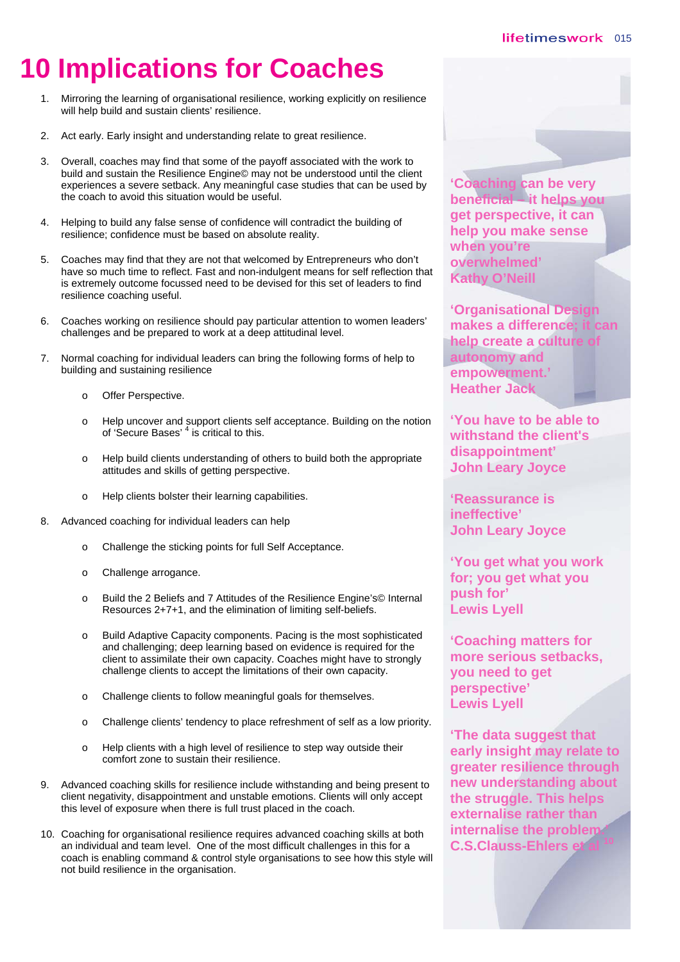# **10 Implications for Coaches**

- 1. Mirroring the learning of organisational resilience, working explicitly on resilience will help build and sustain clients' resilience.
- 2. Act early. Early insight and understanding relate to great resilience.
- 3. Overall, coaches may find that some of the payoff associated with the work to build and sustain the Resilience Engine© may not be understood until the client experiences a severe setback. Any meaningful case studies that can be used by the coach to avoid this situation would be useful.
- 4. Helping to build any false sense of confidence will contradict the building of resilience; confidence must be based on absolute reality.
- 5. Coaches may find that they are not that welcomed by Entrepreneurs who don't have so much time to reflect. Fast and non-indulgent means for self reflection that is extremely outcome focussed need to be devised for this set of leaders to find resilience coaching useful.
- 6. Coaches working on resilience should pay particular attention to women leaders' challenges and be prepared to work at a deep attitudinal level.
- 7. Normal coaching for individual leaders can bring the following forms of help to building and sustaining resilience
	- o Offer Perspective.
	- o Help uncover and support clients self acceptance. Building on the notion of 'Secure Bases' <sup>4</sup> is critical to this.
	- o Help build clients understanding of others to build both the appropriate attitudes and skills of getting perspective.
	- o Help clients bolster their learning capabilities.
- 8. Advanced coaching for individual leaders can help
	- o Challenge the sticking points for full Self Acceptance.
	- o Challenge arrogance.
	- o Build the 2 Beliefs and 7 Attitudes of the Resilience Engine's© Internal Resources 2+7+1, and the elimination of limiting self-beliefs.
	- o Build Adaptive Capacity components. Pacing is the most sophisticated and challenging; deep learning based on evidence is required for the client to assimilate their own capacity. Coaches might have to strongly challenge clients to accept the limitations of their own capacity.
	- o Challenge clients to follow meaningful goals for themselves.
	- o Challenge clients' tendency to place refreshment of self as a low priority.
	- o Help clients with a high level of resilience to step way outside their comfort zone to sustain their resilience.
- 9. Advanced coaching skills for resilience include withstanding and being present to client negativity, disappointment and unstable emotions. Clients will only accept this level of exposure when there is full trust placed in the coach.
- 10. Coaching for organisational resilience requires advanced coaching skills at both an individual and team level. One of the most difficult challenges in this for a coach is enabling command & control style organisations to see how this style will not build resilience in the organisation.

**'Coaching can be very beneficial – it helps you get perspective, it can help you make sense when you're overwhelmed' Kathy O'Neill** 

**'Organisational Design makes a difference; it can help create a culture autonomy and empowerment.' Heather Jack** 

**'You have to be able to withstand the client's disappointment' John Leary Joyce** 

**'Reassurance is ineffective' John Leary Joyce** 

**'You get what you work for; you get what you push for' Lewis Lyell** 

**'Coaching matters for more serious setbacks, you need to get perspective' Lewis Lyell** 

**'The data suggest that early insight may relate to greater resilience through new understanding about the struggle. This helps externalise rather than internalise the problem.' C.S.Clauss-Ehlers et**